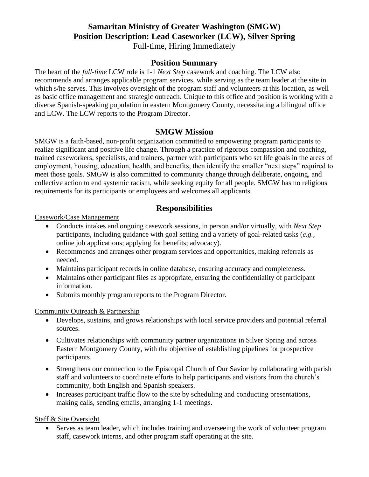# **Samaritan Ministry of Greater Washington (SMGW) Position Description: Lead Caseworker (LCW), Silver Spring**  Full-time, Hiring Immediately

### **Position Summary**

The heart of the *full-time* LCW role is 1-1 *Next Step* casework and coaching. The LCW also recommends and arranges applicable program services, while serving as the team leader at the site in which s/he serves. This involves oversight of the program staff and volunteers at this location, as well as basic office management and strategic outreach. Unique to this office and position is working with a diverse Spanish-speaking population in eastern Montgomery County, necessitating a bilingual office and LCW. The LCW reports to the Program Director.

## **SMGW Mission**

SMGW is a faith-based, non-profit organization committed to empowering program participants to realize significant and positive life change. Through a practice of rigorous compassion and coaching, trained caseworkers, specialists, and trainers, partner with participants who set life goals in the areas of employment, housing, education, health, and benefits, then identify the smaller "next steps" required to meet those goals. SMGW is also committed to community change through deliberate, ongoing, and collective action to end systemic racism, while seeking equity for all people. SMGW has no religious requirements for its participants or employees and welcomes all applicants.

## **Responsibilities**

Casework/Case Management

- Conducts intakes and ongoing casework sessions, in person and/or virtually, with *Next Step*  participants, including guidance with goal setting and a variety of goal-related tasks (*e.g.,* online job applications; applying for benefits; advocacy).
- Recommends and arranges other program services and opportunities, making referrals as needed.
- Maintains participant records in online database, ensuring accuracy and completeness.
- Maintains other participant files as appropriate, ensuring the confidentiality of participant information.
- Submits monthly program reports to the Program Director.

Community Outreach & Partnership

- Develops, sustains, and grows relationships with local service providers and potential referral sources.
- Cultivates relationships with community partner organizations in Silver Spring and across Eastern Montgomery County, with the objective of establishing pipelines for prospective participants.
- Strengthens our connection to the Episcopal Church of Our Savior by collaborating with parish staff and volunteers to coordinate efforts to help participants and visitors from the church's community, both English and Spanish speakers.
- Increases participant traffic flow to the site by scheduling and conducting presentations, making calls, sending emails, arranging 1-1 meetings.

#### Staff & Site Oversight

• Serves as team leader, which includes training and overseeing the work of volunteer program staff, casework interns, and other program staff operating at the site.